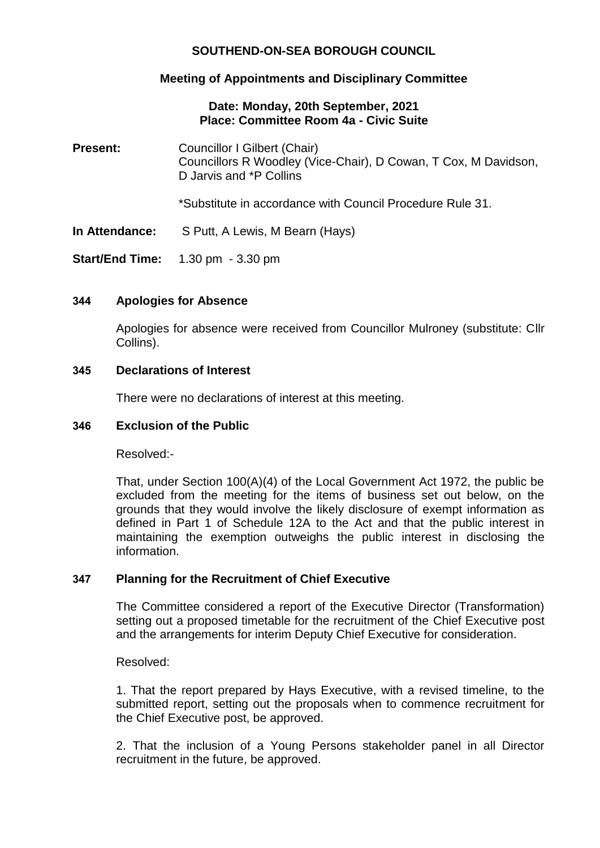# **SOUTHEND-ON-SEA BOROUGH COUNCIL**

# **Meeting of Appointments and Disciplinary Committee**

## **Date: Monday, 20th September, 2021 Place: Committee Room 4a - Civic Suite**

**Present:** Councillor I Gilbert (Chair) Councillors R Woodley (Vice-Chair), D Cowan, T Cox, M Davidson, D Jarvis and \*P Collins \*Substitute in accordance with Council Procedure Rule 31. **In Attendance:** S Putt, A Lewis, M Bearn (Hays) **Start/End Time:** 1.30 pm - 3.30 pm

# **344 Apologies for Absence**

Apologies for absence were received from Councillor Mulroney (substitute: Cllr Collins).

#### **345 Declarations of Interest**

There were no declarations of interest at this meeting.

## **346 Exclusion of the Public**

Resolved:-

That, under Section 100(A)(4) of the Local Government Act 1972, the public be excluded from the meeting for the items of business set out below, on the grounds that they would involve the likely disclosure of exempt information as defined in Part 1 of Schedule 12A to the Act and that the public interest in maintaining the exemption outweighs the public interest in disclosing the information.

## **347 Planning for the Recruitment of Chief Executive**

The Committee considered a report of the Executive Director (Transformation) setting out a proposed timetable for the recruitment of the Chief Executive post and the arrangements for interim Deputy Chief Executive for consideration.

Resolved:

1. That the report prepared by Hays Executive, with a revised timeline, to the submitted report, setting out the proposals when to commence recruitment for the Chief Executive post, be approved.

2. That the inclusion of a Young Persons stakeholder panel in all Director recruitment in the future, be approved.